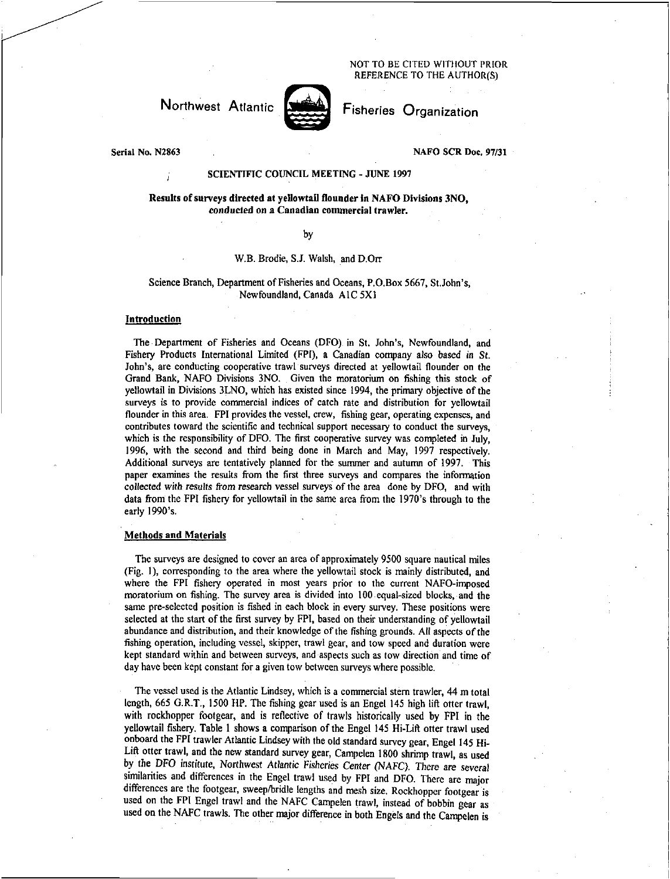NOT TO BE CITED WITHOUT PRIOR REFERENCE TO THE AUTHOR(S)

Northwest Atlantic



Fisheries Organization

Serial No. N2863

NAFO SCR Doc. 97/31

## SCIENTIFIC COUNCIL MEETING - JUNE 1997

Results of surveys directed at yellowtail flounder in NAFO Divisions 3NO, *conducted* on a Canadian commercial trawler.

by

#### W.B. Brodie, S.J. Walsh, and D.Orr

### Science Branch, Department of Fisheries and Oceans, P.O.Box 5667, St.John's, Newfoundland, Canada A IC 5X1

#### **Introduction**

The Department of Fisheries and Oceans (DFO) in St. John's, Newfoundland, and Fishery Products International Limited (FPI), a Canadian company also based *in St.*  John's, are conducting cooperative trawl surveys directed at yellowtail flounder on the Grand Bank, NAFO Divisions 3N0. Given the moratorium on fishing this stock of yellowtail in Divisions 3LNO, which has existed since 1994, the primary objective of the surveys is to provide commercial indices of catch rate and distribution for yellowtail flounder in this area. FPI provides the vessel, crew, fishing gear, operating expenses, and contributes toward the scientific and technical support necessary to conduct the surveys, which is the responsibility of DFO. The first cooperative survey was completed in July, 1996, with the second and third being done in March and May, 1997 respectively. Additional surveys are tentatively planned for the summer and autumn of 1997. This paper examines the results from the first three surveys and compares the information collected *with results from research* vessel surveys of the area done by DFO, and with data from the FPI fishery for yellowtail in the same area from the 1970's through to the early 1990's.

### Methods and Materials

The surveys are designed to cover an area of approximately 9500 square nautical miles (Fig. 1), corresponding to the area where the yellowtail stock is mainly distributed, and where the FPI fishery operated in most years prior to the current NAFO-imposed moratorium on fishing. The survey area is divided into 100 equal-sized blocks, and the same pre-selected position is fished in each block in every survey. These positions were selected at the start of the first survey by FPI, based on their understanding of yellowtail abundance and distribution, and their knowledge of the fishing grounds. All aspects of the fishing operation, including vessel, skipper, trawl gear, and tow speed and duration were kept standard within and between surveys, and aspects such as tow direction and time of day have been kept constant for a given tow between surveys where possible.

The vessel used is the Atlantic Lindsey, which is a commercial stern trawler, 44 m total length, 665 G.R.T., 1500 HP. The fishing gear used is an Engel 145 high lift otter trawl, with rockhopper footgear, and is reflective of trawls historically used by FPI in the yellowtail fishery. Table 1 shows a comparison of the Engel 145 Hi-Lift otter trawl used onboard the FPI trawler Atlantic Lindsey with the old standard survey gear, Engel 145 Hi-Lift otter trawl, and the new standard survey gear, Campelen 1800 shrimp trawl, as used by the DFO institute, Northwest *Atlantic Fisheries Center* (NAFC). There *are several*  similarities and differences in the Engel trawl used by FPI and DFO. There are major differences are the footgear, sweep/bridle lengths and mesh size. Rockhopper footgear is used on the FPI Engel trawl and the NAFC Campelen trawl, instead of bobbin gear as used on the NAFC trawls. The other major difference in both Engels and the Campelen is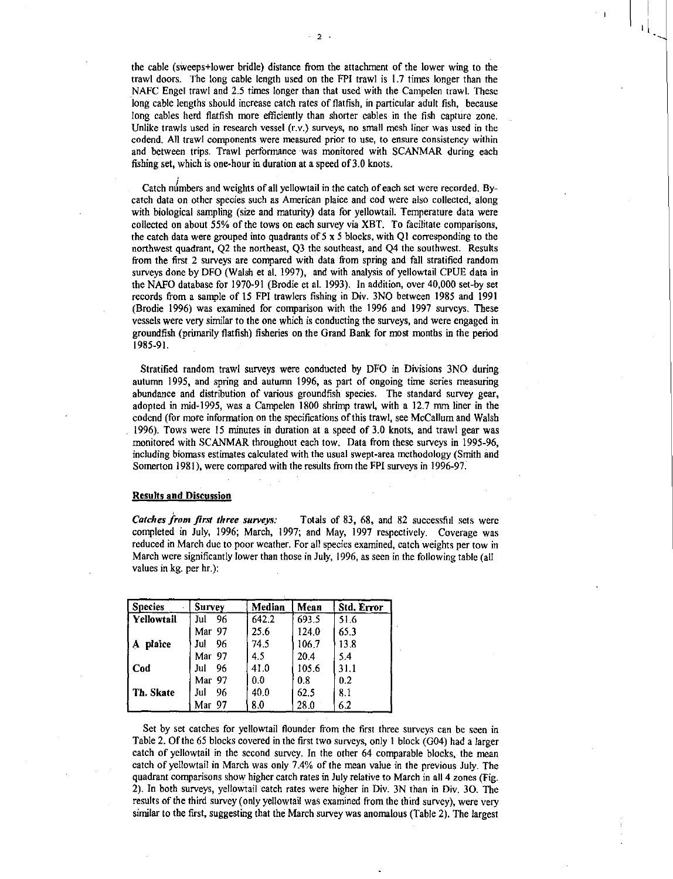the cable (sweeps+lower bridle) distance from the attachment of the lower wing to the trawl doors. The long cable length used on the FPI trawl is 1.7 times longer than the NAFC Engel trawl and 2.5 times longer than that used with the Campelen trawl. These long cable lengths should increase catch rates of flatfish, in particular adult fish, because long cables herd flatfish more efficiently than shorter cables in the fish capture zone. Unlike trawls used in research vessel (r.v.) surveys, no small mesh liner was used in the codend. All trawl components were measured prior to use, to ensure consistency within and between trips. Trawl performance was monitored with SCANMAR during each fishing set, which is one-hour in duration at a speed of 3.0 knots.

Catch numbers and weights of all yellowtail in the catch of each set were recorded. Bycatch data on other species such as American plaice and cod were also collected, along with biological sampling (size and maturity) data for yellowtail. Temperature data were collected on about 55% of the tows on each survey via XBT. To facilitate comparisons, the catch data were grouped into quadrants of  $5 \times 5$  blocks, with Q1 corresponding to the northwest quadrant, Q2 the northeast, Q3 the southeast, and Q4 the southwest. Results from the first 2 surveys are compared with data from spring and fall stratified random surveys done by DFO (Walsh et al. 1997), and with analysis of yellowtail CPUE data in the NAFO database for 1970-91 (Brodie et al. 1993). In addition, over 40,000 set-by set records from a sample of 15 FPI trawlers fishing in Div. 3N0 between 1985 and 1991 (Brodie 1996) was examined for comparison with the 1996 and 1997 surveys. These vessels were very similar to the one which is conducting the surveys, and were engaged in groundfish (primarily flatfish) fisheries on the Grand Bank for most months in the period 1985-91.

Stratified random trawl surveys were conducted by DFO in Divisions 3N0 during autumn 1995, and spring and autumn 1996, as part of ongoing time series measuring abundance and distribution of various groundfish species. The standard survey gear, adopted in mid-1995, was a Campelen 1800 shrimp trawl, with a 12.7 mm liner in the codend (for more information on the specifications of this trawl, see McCallum and Walsh 1996). Tows were 15 minutes in duration at a speed of 3.0 knots, and trawl gear was monitored with SCANMAR throughout each tow. Data from these surveys in 1995-96, including biomass estimates calculated with the usual swept-area methodology (Smith and Somerton 1981), were compared with the results from the FPI surveys in 1996-97.

#### Results and Discussion

*Catches from first three surveys:* Totals of 83, 68, and 82 successful sets were completed in July, 1996; March, 1997; and May, 1997 respectively. Coverage was reduced in March due to poor weather. For all species examined, catch weights per tow in March were significantly lower than those in July, 1996, as seen in the following table (all values in kg. per hr.):

| <b>Species</b> | <b>Survey</b> | Median | Mean  | Std. Error |
|----------------|---------------|--------|-------|------------|
| Yellowtail     | Jul<br>96     | 642.2  | 693.5 | 51.6       |
|                | Mar 97        | 25.6   | 124.0 | 65.3       |
| plaice<br>A    | Jul<br>96     | 74.5   | 106.7 | 13.8       |
|                | Mar 97        | 4.5    | 20.4  | 5.4        |
| Cod            | 96<br>Jul     | 41.0   | 105.6 | 31.1       |
|                | Mar 97        | 0.0    | 0.8   | 0.2        |
| Th. Skate      | Jul<br>96     | 40.0   | 62.5  | 8.1        |
|                | Mar 97        | 8.0    | 28.0  | 6.2        |

Set by set catches for yellowtail flounder from the first three surveys can be seen in Table 2. Of the 65 blocks covered in the first two surveys, only 1 block (G04) had a larger catch of yellowtail in the second survey. In the other 64 comparable blocks, the mean catch of yellowtail in March was only 7.4% of the mean value in the previous July. The quadrant comparisons show higher catch rates in July relative to March in all 4 zones (Fig. 2). In both surveys, yellowtail catch rates were higher in Div. 3N than in Div. 30. The results of the third survey (only yellowtail was examined from the third survey), were very similar to the first, suggesting that the March survey was anomalous (Table 2). The largest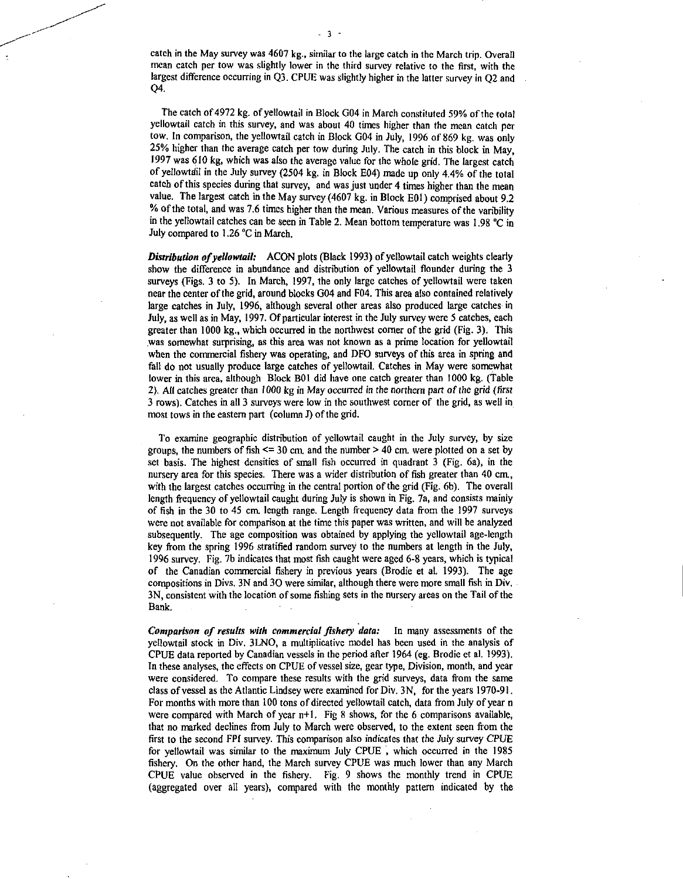catch in the May survey was 4607 kg., similar to the large catch in the March trip. Overall mean catch per tow was slightly lower in the third survey relative to the first, with the largest difference occurring in Q3. CPUE was slightly higher in the latter survey in Q2 and Q4.

The catch of 4972 kg. of yellowtail in Block 004 in March constituted 59% of the total yellowtail catch in this survey, and was about 40 times higher than the mean catch per tow. In comparison, the yellowtail catch in Block 004 in July, 1996 of 869 kg. was only 25% higher than the average catch per tow during July. The catch in this block in May, 1997 was 610 kg, which was also the average value for the whole grid. The largest catch of yellowtail in the July survey (2504 kg. in Block E04) made up only 4.4% of the total catch of this species during that survey, and was just under 4 times higher than the mean value. The largest catch in the May survey (4607 kg. in Block E01) comprised about 9.2 % of the total, and was 7.6 times higher than the mean. Various measures of the varibility in the yellowtail catches can be seen in Table 2. Mean bottom temperature was 158 °C in July compared to 1.26 °C in March.

*Distribution of yellowtail:* ACON plots (Black 1993) of yellowtail catch weights clearly show the difference in abundance and distribution of yellowtail flounder during the 3 surveys (Figs. 3 to 5). In March, 1997, the only large catches of yellowtail were taken near the center of the grid, around blocks 004 and F04. This area also contained relatively large catches in July, 1996, although several other areas also produced large catches in July, as well as in May, 1997. Of particular interest in the July survey were 5 catches, each greater than 1000 kg., which occurred in the northwest corner of the grid (Fig. 3). This was somewhat surprising, as this area was not known as a prime location for yellowtail when the commercial fishery was operating, and DFO surveys of this area in spring and fall do not usually produce large catches of yellowtail. Catches in May were somewhat lower in this area, although Block BOl did have one catch greater than 1000 kg. (Table 2). All catches greater than 1000 kg in May occurred *in the northern part of the grid (first*  3 rows). Catches in all 3 surveys were low in the southwest corner of the grid, as well in most tows in the eastern part (column J) of the grid.

To examine geographic distribution of yellowtail caught in the July survey, by size groups, the numbers of fish  $\leq 30$  cm, and the number  $> 40$  cm, were plotted on a set by set basis. The highest densities of small fish occurred in quadrant 3 (Fig. 6a), in the nursery area for this species. There was a wider distribution of fish greater than 40 cm., with the largest catches occurring in the central portion of the grid (Fig. 6b). The overall length frequency of yellowtail caught during July is shown in Fig. 7a, and consists mainly of fish in the 30 to 45 cm. length range. Length frequency data from the 1997 surveys were not available for comparison at the time this paper was written, and will be analyzed subsequently. The age composition was obtained by applying the yellowtail age-length key from the spring 1996 stratified random survey to the numbers at length in the July, 1996 survey. Fig. 7b indicates that most fish caught were aged 6-8 years, which is typical of the Canadian commercial fishery in previous years (Brodie et at. 1993). The age compositions in Divs. 3N and 30 were similar, although there were more small fish in Div. 3N, consistent with the location of some fishing sets in the nursery areas on the Tail of the Bank.

*Comparison of results with commercial fishery data:* In many assessments of the yellowtail stock in Div. 3LNO, a multiplicative model has been used in the analysis of CPUE data reported by Canadian vessels in the period after 1964 (eg. Brodie et al. 1993). In these analyses, the effects on CPUE of vessel size, gear type, Division, month, and year were considered. To compare these results with the grid surveys, data from the same class of vessel as the Atlantic Lindsey were examined for Div. 3N, for the years 1970-91. For months with more than 100 tons of directed yellowtail catch, data from July of year n were compared with March of year  $n+1$ . Fig 8 shows, for the 6 comparisons available, that no marked declines from July to March were observed, to the extent seen from the first to the second FPI survey. This comparison also indicates that the July survey CPUE for yellowtail was similar to the maximum July CPUE , which occurred in the 1985 fishery. On the other hand, the March survey CPUE was much lower than any March CPUE value observed in the fishery. Fig. 9 shows the monthly trend in CPUE (aggregated over all years), compared with the monthly pattern indicated by the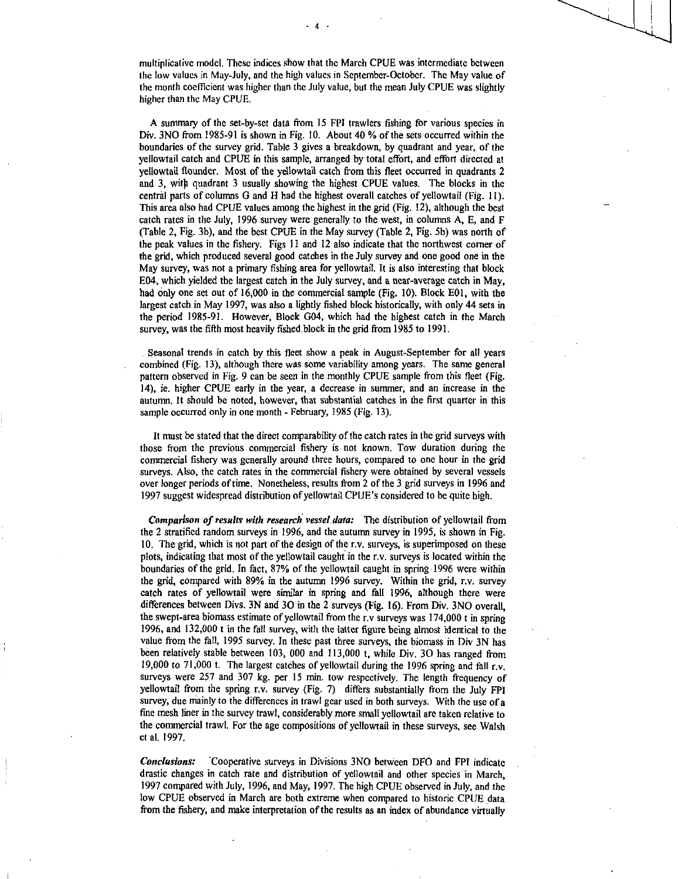multiplicative model. These indices show that the March CPUE was intermediate between the low values in May-July, and the high values in September-October. The May value of the month coefficient was higher than the July value, but the mean July CPUE was slightly higher than the May CPUE.

A summary of the set-by-set data from 15 FPI trawlers fishing for various species in Div. 3NO from 1985-91 is shown in Fig. 10. About 40 % of the sets occurred within the boundaries of the survey grid. Table 3 gives a breakdown, by quadrant and year, of the yellowtail catch and CPUE in this sample, arranged by total effort, and effort directed at yellowtail flounder. Most of the yellowtail catch from this fleet occurred in quadrants 2 and 3, with quadrant 3 usually showing the highest CPUE values. The blocks in the central parts of columns G and H had the highest overall catches of yellowtail (Fig. 11). This area also had CPUE values among the highest in the grid (Fig. 12), although the best catch rates in the July, 1996 survey were generally to the west, in columns A, E, and F (Table 2, Fig. 3b), and the best CPUE in the May survey (Table 2, Fig. 5b) was north of the peak values in the fishery. Figs 11 and 12 also indicate that the northwest corner of the grid, which produced several good catches in the July survey and one good one in the May survey, was not a primary fishing area for yellowtail. It is also interesting that block E04, which yielded the largest catch in the July survey, and a near-average catch in May, had only one set out of 16,000 in the commercial sample (Fig. 10). Block E01, with the largest catch in May 1997, was also a lightly fished block historically, with only 44 sets in the period 1985-91. However, Block G04, which had the highest catch in the March survey, was the fifth most heavily fished block in the grid from 1985 to 1991.

Seasonal trends in catch by this fleet show a peak in August-September for all years combined (Fig. 13), although there was some variability among years. The same general pattern observed in Fig. 9 can be seen in the monthly CPUE sample from this fleet (Fig. 14), ie. higher CPUE early in the year, a decrease in summer, and an increase in the autumn. It should be noted, however, that substantial catches in the first quarter in this sample occurred only in one month - February, 1985 (Fig. 13).

It must be stated that the direct comparability of the catch rates in the grid surveys with those from the previous commercial fishery is not known. Tow duration during the commercial fishery was generally around three hours, compared to one hour in the grid surveys. Also, the catch rates in the commercial fishery were obtained by several vessels over longer periods of time. Nonetheless, results from 2 of the 3 grid surveys in 1996 and 1997 suggest widespread distribution of yellowtail CPUE's considered to be quite high.

*Comparison of results with research vessel data:* The distribution of yellowtail from the 2 stratified random surveys in 1996, and the autumn survey in 1995, is shown in Fig. 10. *The* grid, which is not part of the design of the r.v. surveys, is superimposed on these plots, indicating that most of the yellowtail caught in the r.v. surveys is located within the boundaries of the grid. In fact, 87% of the yellowtail caught in spring 1996 were within the grid, compared with 89% in the autumn 1996 survey. Within the grid, r.v. survey catch rates of yellowtail were similar in spring and fall 1996, although there were differences between Divs. 3N and 30 in the 2 surveys (Fig. 16). From Div. 3NO overall, the swept-area biomass estimate of yellowtail from the r.v surveys was 174,000 t in spring 1996, and 132,000 t in the fall survey, with the latter figure being almost identical to the value from the fall, 1995 survey. In these past three surveys, the biomass in Div 3N has been relatively stable between 103, 000 and 113,000 t, while Div. 30 has ranged from 19,000 to 71,000 t. The largest catches of yellowtail during the 1996 spring and fall r.v. surveys were 257 and 307 kg. per 15 min. tow respectively. The length frequency of yellowtail from the spring r.v. survey (Fig. 7) differs substantially from the July FPI survey, due mainly to the differences in trawl gear used in both surveys. With the use of a fine mesh liner in the survey trawl, considerably more small yellowtail are taken relative to the commercial trawl. For the age compositions of yellowtail in these surveys, see Walsh et al. 1997.

*Conclusions:* 'Cooperative surveys in Divisions 3N0 between DFO and FPI indicate drastic changes in catch rate and distribution of yellowtail and other species in March, 1997 compared with July, 1996, and May, 1997. The high CPUE observed in July, and the low CPUE observed in March are both extreme when compared to historic CPUE data from the fishery, and make interpretation of the results as an index of abundance virtually

4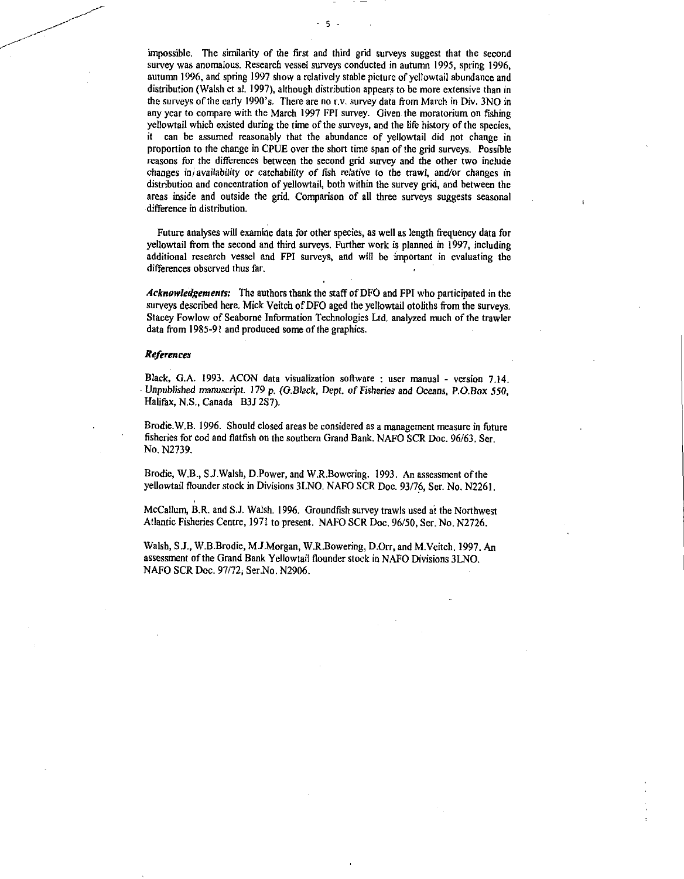impossible. The similarity of the first and third grid surveys suggest that the second survey was anomalous. Research vessel surveys conducted in autumn 1995, spring 1996, autumn 1996, and spring 1997 show a relatively stable picture of yellowtail abundance and distribution (Walsh et al. 1997), although distribution appears to be more extensive than in the surveys of the early 1990's. There are no r.v. survey data from March in Div. 3N0 in any year to compare with the March 1997 FPI survey. Given the moratorium on fishing yellowtail which existed during the time of the surveys, and the life history of the species, it can be assumed reasonably that the abundance of yellowtail did not change in proportion to the change in CPUE over the short time span of the grid surveys. Possible reasons for the differences between the second grid survey and the other two include changes *in) availability* or catchability of fish relative to the trawl, and/or changes in distribution and concentration of yellowtail, both within the survey grid, and between the areas inside and outside the grid. Comparison of all three surveys suggests seasonal difference in distribution.

5

Future analyses will examine data for other species, as well as length frequency data for yellowtail from the second and third surveys. Further work is planned in 1997, including additional research vessel and FPI surveys, and will be important in evaluating the differences observed thus far.

*Acknowledgements:* The authors thank the staff of DFO and FPI who participated in the surveys described here. Mick Veitch of DFO aged the yellowtail otoliths from the surveys. Stacey Fowlow of Seaborne Information Technologies Ltd. analyzed much of the trawler data from 1985-91 and produced some of the graphics.

#### *References*

Black, G.A. 1993. ACON data visualization software : user manual - version 7.14. Unpublished *manuscript. 179* p. *(G.Black, Dept. of Fisheries and Oceans,* P.O.Box 550, Halifax, N.S., Canada B3J 287).

Brodie.W.B. 1996. Should closed areas be considered as a management measure in future fisheries for cod and flatfish on the southern Grand Bank. NAFO SCR Doc. 96/63. Ser. No. N2739.

Brodie, W.13., S.J.Walsh, D.Power, and W.R.Bowering. 1993. An assessment of the yellowtail flounder stock in Divisions 3LNO. NAFO SCR Doc. 93/76, Ser. No. N2261.

McCallum, B.R. and S.J. Walsh. 1996. Groundfish survey trawls used at the Northwest Atlantic Fisheries Centre, 1971 to present. NAFO SCR Doc. 96/50, Ser. No. N2726.

Walsh, S.J., W.B.Brodie, M.J.Morgan, W.R.Bowering, D.Orr, and M.Veitch. 1997. An assessment of the Grand Bank Yellowtail flounder stock in NAFO Divisions 3LNO. NAFO SCR Doc. 97/72, Ser.No. N2906.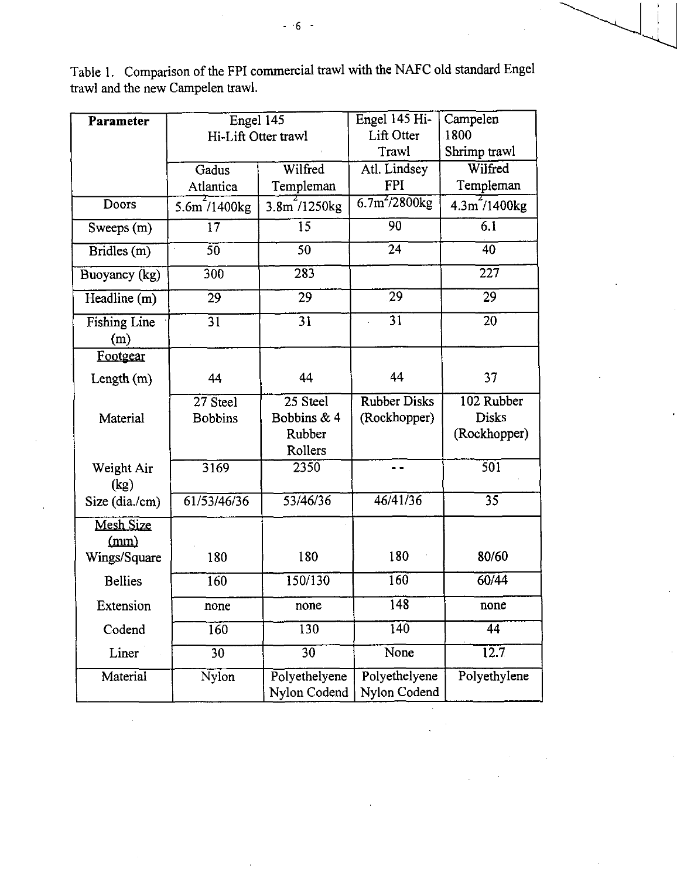| Parameter                  | Engel 145           |                               | Engel 145 Hi-                 | Campelen                             |  |
|----------------------------|---------------------|-------------------------------|-------------------------------|--------------------------------------|--|
|                            | Hi-Lift Otter trawl |                               | Lift Otter                    | 1800                                 |  |
|                            |                     |                               | Trawl                         | Shrimp trawl                         |  |
|                            | Gadus               | Wilfred                       |                               | Wilfred                              |  |
|                            | Atlantica           | Templeman                     | <b>FPI</b>                    | Templeman                            |  |
| <b>Doors</b>               | 5.6m/1400kg         | $3.8m$ /1250 $kg$             | $6.7m^{2}/2800kg$             | 4.3 <sup>2</sup> /1400 <sup>kg</sup> |  |
| Sweeps (m)                 | 17                  | 15                            | 90                            | 6.1                                  |  |
| $\overline{Bridles(m)}$    | $\overline{50}$     | $\overline{50}$               | 24                            | 40                                   |  |
| Buoyancy (kg)              | 300                 | 283                           |                               | 227                                  |  |
| Headline (m)               | 29                  | 29                            | $\overline{29}$               | 29                                   |  |
| <b>Fishing Line</b><br>(m) | $\overline{31}$     | 31                            | 31                            | 20                                   |  |
| Footgear                   |                     |                               |                               |                                      |  |
| Length $(m)$               | 44                  | 44                            | 44                            | 37                                   |  |
|                            | 27 Steel            | 25 Steel                      | <b>Rubber Disks</b>           | 102 Rubber                           |  |
| Material                   | <b>Bobbins</b>      | Bobbins & 4                   | (Rockhopper)                  | <b>Disks</b>                         |  |
|                            |                     | Rubber                        |                               | (Rockhopper)                         |  |
|                            |                     | Rollers                       |                               |                                      |  |
| Weight Air<br>(kg)         | 3169                | 2350                          |                               | 501                                  |  |
| Size (dia./cm)             | 61/53/46/36         | 53/46/36                      | $\sqrt{46/41/36}$             | 35                                   |  |
| Mesh Size<br>(mm)          |                     |                               |                               |                                      |  |
| Wings/Square               | 180                 | 180                           | 180                           | 80/60                                |  |
| <b>Bellies</b>             | 160                 | 150/130                       | 160                           | 60/44                                |  |
| Extension                  | none                | none                          | 148                           | none                                 |  |
| Codend                     | $\overline{160}$    | 130                           | 140                           | $\overline{44}$                      |  |
| Liner                      | $\overline{30}$     | 30                            | None                          | 12.7                                 |  |
| Material                   | Nylon               | Polyethelyene<br>Nylon Codend | Polyethelyene<br>Nylon Codend | Polyethylene                         |  |

÷.

 $\bar{\lambda}$ 

Table 1. Comparison of the FPI commercial trawl with the NAFC old standard Engel trawl and the new Campelen trawl.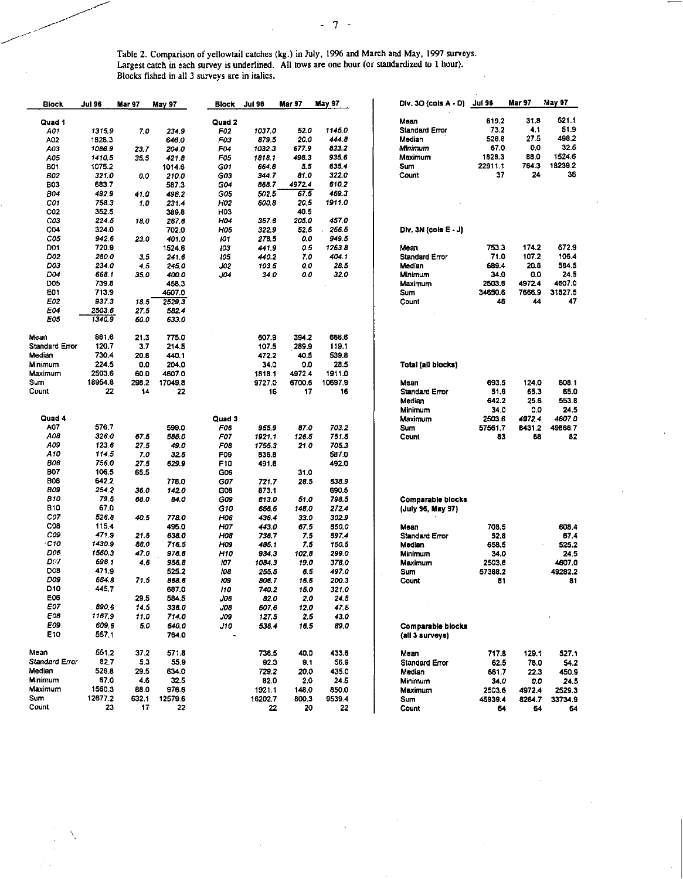Table 2. Comparison of yellowtail catches (kg.) in July, 1996 and March and May, 1997 surveys. Largest catch in each survey is underlined. All tows are one hour (or standardized to 1 hour). Blocks fished in all 3 surveys are in italics.

| <b>Block</b>    | Jul 96  | Mar 97 | May 97  | <b>Block</b>    | <b>Jul 96</b> | Mar 97 | <b>May 97</b> | Div. 30 (cols A - D) Jul 96 |         | Mar 97 | May 97  |
|-----------------|---------|--------|---------|-----------------|---------------|--------|---------------|-----------------------------|---------|--------|---------|
|                 |         |        |         |                 |               |        |               | Mean                        | 619.2   | 31.8   | 521.1   |
| Quad 1          |         |        |         | Quad 2          |               |        |               | <b>Standard Error</b>       | 73.2    | 4.1    | 51.9    |
| A01             | 1315.9  | 7.0    | 234.9   | F02             | 1037.0        | 52.0   | 1145.0        |                             |         |        |         |
| A02             | 1828.3  |        | 648.0   | F03             | 879.5         | 20.0   | 444 8         | Median                      | 526.8   | 27.5   | 498.2   |
| АОЗ             | 1086.9  | 23.7   | 204.0   | F04             | 10323         | 677.9  | 833.2         | Minimum                     | 67.0    | 0.0    | 32.5    |
| 105             | 1410.5  | 35.5   | 421.8   | F05             | 1818.1        | 498.3  | 935 6         | Maximum                     | 1828,3  | 88.0   | 1524.6  |
| <b>B01</b>      | 1075.2  |        | 1014.6  | G01             | 664.8         | 5.5    | 635.4         | Sum                         | 22911.1 | 764.3  | 18239.2 |
| <b>B02</b>      | 321.0   | 0.0    | 210.0   | G03             | 344.7         | 81.0   | 322.0         | Count                       | 37      | 24     | 35      |
| <b>B03</b>      | 683.7   |        | 587.3   | G04             | 868.7         | 4972.4 | 610.2         |                             |         |        |         |
| <b>B04</b>      | 492.9   | 41.0   | 498.2   | G05             | 502.5         | 67.5   | 469.3         |                             |         |        |         |
| C01             | 758.3   | 1.0    | 231.4   | H02             | 600.8         | 20.5   | 1911.0        |                             |         |        |         |
| CO <sub>2</sub> | 352.5   |        | 389.8   | H03             |               | 40.5   |               |                             |         |        |         |
| C03             | 224.5   | 18.0   | 287.6   | H04             | 357.6         | 205.0  | 457.0         |                             |         |        |         |
| C <sub>04</sub> | 324.0   |        | 702.0   | HOS             | 322.9         | 52.5   | 256.5         | Div. 3N (cols $E - J$ )     |         |        |         |
| C05             | 942.6   | 23.0   | 401.0   | 101             | 278.5         | 0.0    | 949.5         |                             |         |        |         |
| D <sub>01</sub> | 720.9   |        | 1524 6  | 103             | 4419          | 0.5    | 1263.8        | Mean                        | 753.3   | 174.2  | 672.9   |
| <b>D02</b>      | 280.O   | 35     | 241.6   | 105             | 440.2         | 7.0    | 404 1         | <b>Standard Error</b>       | 71.0    | 107.2  | 106.4   |
| D03             | 234.0   | 4,5    | 245.0   | J02             | 103.5         | 0.0    | 28.5          | Median                      | 689.4   | 20.8   | 584.5   |
| D04             | 668.1   |        |         |                 |               |        |               |                             |         | 0.0    | 24.5    |
|                 |         | 35.0   | 400.0   | 04.             | 34.0          | 0.0    | 32.0          | Minimum                     | 34.0    |        |         |
| <b>D05</b>      | 739.8   |        | 458.3   |                 |               |        |               | Maximum                     | 2503.6  | 4972.4 | 4607.0  |
| E01             | 713.9   |        | 4607.0  |                 |               |        |               | Sum                         | 34650.6 | 7666.9 | 31627.5 |
| E02             | 937.3   | 18.5   | 2529.3  |                 |               |        |               | Count                       | 46      | 44     | 47      |
| E04             | 2503.6  | 27.5   | 582.4   |                 |               |        |               |                             |         |        |         |
| E05             | 1340.9  | 60.0   | 633.0   |                 |               |        |               |                             |         |        |         |
| Mean            | 861.6   | 21.3   | 775.0   |                 | 607.9         | 394.2  | 668.6         |                             |         |        |         |
| Standard Error  | 120.7   | 3,7    | 2145    |                 | 107.5         | 289.9  | 119.1         |                             |         |        |         |
|                 |         |        |         |                 |               |        |               |                             |         |        |         |
| Median          | 730.4   | 20.8   | 440.1   |                 | 472.2         | 40.5   | 539.8         |                             |         |        |         |
| Minimum         | 224.5   | 0.0    | 204.0   |                 | 34.0          | 0.0    | 28.5          | Total (all blocks)          |         |        |         |
| Maximum         | 2503.6  | 60.0   | 4607.0  |                 | 1818.1        | 4972.4 | 1911.0        |                             |         |        |         |
| Sum             | 18954.8 | 298.2  | 17049.8 |                 | 9727.0        | 6700.6 | 10697.9       | Mean                        | 693.5   | 124.0  | 608.1   |
| Count           | 22      | 14     | 22      |                 | 16            | 17     | 16            | <b>Standard Error</b>       | 51.6    | 65.3   | 65.0    |
|                 |         |        |         |                 |               |        |               | Median                      | 642.2   | 25.6   | 553.8   |
|                 |         |        |         |                 |               |        |               | Minimum                     | 34.0    | 0.0    | 24.5    |
| Quad 4          |         |        |         | Quad 3          |               |        |               | Maximum                     | 2503.6  | 4972.4 | 4607.0  |
| A07             | 576.7   |        | 599.0   | F06             | 9559          | 87.0   | 703.2         | Sum                         | 57561.7 | 8431.2 | 49866.7 |
| A08             | 326.0   | 67.5   | 585. O  | <b>F07</b>      | 1921.1        | 126.5  | 751.5         | Count                       | 83      | 68     | 82      |
| A09             | 123.6   | 27.5   | 49.0    | F08             | 1755.3        | 21.0   | 705.3         |                             |         |        |         |
| A10             | 114.5   | 7.0    | 32.5    | F09             | 836.8         |        | 587.0         |                             |         |        |         |
| 806             | 756.0   | 27.5   | 629.9   | F <sub>10</sub> | 491.6         |        | 492.0         |                             |         |        |         |
| <b>B07</b>      | 106.5   | 65.5   |         | G <sub>06</sub> |               | 31.0   |               |                             |         |        |         |
| B08             | 642.2   |        | 778.0   | G07             |               | 28.5   | 638.9         |                             |         |        |         |
| BOS             | 254.2   |        |         |                 | 721.7         |        |               |                             |         |        |         |
|                 |         | 36.0   | 142.0   | G <sub>08</sub> | 873.1         |        | 690.5         |                             |         |        |         |
| <b>B10</b>      | 79.5    | 68.0   | 84.0    | GOS             | 8130          | 51.0   | 798.5         | Comparable blocks           |         |        |         |
| <b>B10</b>      | 67.0    |        |         | G10             | 658.5         | 148.0  | 272.4         | (July 96, May 97)           |         |        |         |
| C07             | 526.8   | 40.5   | 778.0   | H06             | 436 4         | 33.0   | 302.9         |                             |         |        |         |
| C <sub>08</sub> | 115.4   |        | 495.0   | H07             | 4430          | 67.5   | 850.0         | Mean                        | 708.5   |        | 608.4   |
| COS             | 471.9   | 21.5   | 638.0   | HOS             | 736.7         | 7.5    | 697.4         | <b>Standard Error</b>       | 52.8    |        | 67.4    |
| $-c_{10}$       | 1430.9  | 88.0   | 716.5   | HO9             | 485.1         | 7.5    | 150.5         | Median                      | 658.5   |        | 525.2   |
| D06             | 1560.3  | 47.0   | 976.6   | H10             | 934.3         | 102.8  | 299.0         | Minimum                     | 34.0    |        | 24.5    |
| D67             | 698.1   | 4.6    | 956.8   | 107             | 1084.3        | 19.0   | 378.0         | Maximum                     | 2503.6  |        | 4607.0  |
| DO8             | 471.9   |        | 525.2   | 108             | 255.5         | 6.5    | 497.0         | Sum                         | 57388.2 |        | 49282.2 |
| DOS             | 634.8   | 71.5   | 868.6   | 109             | 806.7         | 15.5   | 200.3         | Count                       | 81      |        | 81      |
| D <sub>10</sub> | 445.7   |        | 687.0   | 110             | 740.2         | 15.0   | 321.0         |                             |         |        |         |
| E06             |         | 29.5   | 5845    | JO6             | 82.0          | 2.0    | 24.5          |                             |         |        |         |
| E07             | 890.6   | 14.5   | 336.0   | <b>JOB</b>      | 507.6         | 12.0   | 475           | $\cdot$                     |         |        |         |
| E08             |         |        |         |                 |               |        |               |                             |         |        |         |
|                 | 1167.9  | 11.0   | 714 0   | J09             | 127.5         | 2.5    | 43.0          |                             |         |        |         |
| E09             | 609.6   | 5.0    | 640.0   | J10             | 536.4         | 16.5   | 89.0          | Comparable blocks           |         |        |         |
| E10             | 557.1   |        | 764.0   |                 |               |        |               | (all 3 surveys)             |         |        |         |
| Mean            | 551.2   | 37.2   | 571.8   |                 | 736.5         | 40.0   | 433.6         | Mean                        | 717.8   | 129.1  | 527.1   |
| Standard Error  | 82.7    | 5.3    | 55.9    |                 | 92.3          | 9.1    | 56.9          | <b>Standard Error</b>       | 62.5    | 78.0   | 54.2    |
| Median          | 526.8   | 29.5   | 634.0   |                 | 729.2         | 20.0   | 435.0         | Median                      | 661.7   | 22.3   | 450.9   |
| Minimum         | 67.0    | 4.6    | 32.5    |                 | 82.0          | 2.0    | 24.5          | Minimum                     |         |        |         |
| Maximum         | 1560.3  | 88.0   |         |                 |               |        |               |                             | 34.0    | 0.0    | 24.5    |
| Sum             |         |        | 976.6   |                 | 1921 1        | 148.0  | 850.0         | Maximum                     | 2503.6  | 4972.4 | 2529.3  |
|                 | 12677.2 | 632.1  | 12579.6 |                 | 16202.7       | 800.3  | 9539.4        | Sum                         | 45939.4 | 8264.7 | 33734.9 |
| Count           | 23      | 17     | 22      |                 | 22            | 20     | 22            | Count                       | 64      | 64     | 64      |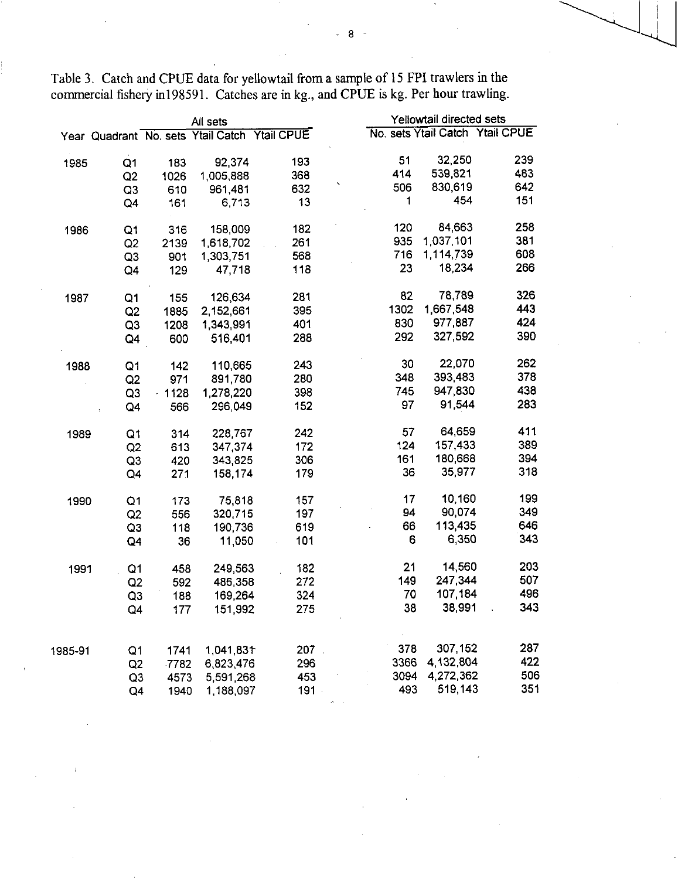|         |                |         | All sets                                      | Yellowtail directed sets |      |           |                                 |
|---------|----------------|---------|-----------------------------------------------|--------------------------|------|-----------|---------------------------------|
|         |                |         | Year Quadrant No. sets Ytail Catch Ytail CPUE |                          |      |           | No. sets Ytail Catch Ytail CPUE |
|         |                |         |                                               |                          |      |           |                                 |
| 1985    | Q1             | 183     | 92,374                                        | 193                      | 51   | 32,250    | 239                             |
|         | Q <sub>2</sub> | 1026    | 1,005,888                                     | 368                      | 414  | 539,821   | 483                             |
|         | Q <sub>3</sub> | 610     | 961,481                                       | 632                      | 506  | 830,619   | 642                             |
|         | Q4             | 161     | 6,713                                         | 13                       | 1    | 454       | 151                             |
| 1986    | Q1             | 316     | 158,009                                       | 182                      | 120  | 84,663    | 258                             |
|         | Q <sub>2</sub> | 2139    | 1,618,702                                     | 261                      | 935  | 1,037,101 | 381                             |
|         | Q <sub>3</sub> | 901     | 1,303,751                                     | 568                      | 716  | 1,114,739 | 608                             |
|         | Q4             | 129     | 47,718                                        | 118                      | 23   | 18,234    | 266                             |
| 1987    | Q <sub>1</sub> | 155     | 126,634                                       | 281                      | 82   | 78,789    | 326                             |
|         | Q2             | 1885    | 2,152,661                                     | 395                      | 1302 | 1,667,548 | 443                             |
|         | Q3             | 1208    | 1,343,991                                     | 401                      | 830  | 977,887   | 424                             |
|         | Q4             | 600     | 516,401                                       | 288                      | 292  | 327,592   | 390                             |
| 1988    | Q1             | 142     | 110,665                                       | 243                      | 30   | 22,070    | 262                             |
|         | Q2             | 971     | 891,780                                       | 280                      | 348  | 393,483   | 378                             |
|         | Q3             | $-1128$ | 1,278,220                                     | 398                      | 745  | 947,830   | 438                             |
|         | Q4             | 566     | 296,049                                       | 152                      | 97   | 91,544    | 283                             |
| 1989    | Q1             | 314     | 228,767                                       | 242                      | 57   | 64,659    | 411                             |
|         | Q2             | 613     | 347 374                                       | 172                      | 124  | 157 433   | 389                             |
|         | Q3             | 420     | 343,825                                       | 306                      | 161  | 180,668   | 394                             |
|         | Q4             | 271     | 158.174                                       | 179                      | 36   | 35,977    | 318                             |
| 1990    | Q <sub>1</sub> | 173     | 75,818                                        | 157                      | 17   | 10,160    | 199                             |
|         | Q2             | 556     | 320,715                                       | 197                      | 94   | 90,074    | 349                             |
|         | Q <sub>3</sub> | 118     | 190,736                                       | 619                      | 66   | 113,435   | 646                             |
|         | Q4             | 36      | 11,050                                        | 101                      | 6    | 6,350     | 343                             |
| 1991    | Q <sub>1</sub> | 458     | 249,563                                       | 182                      | 21   | 14,560    | 203                             |
|         | Q2             | 592     | 486,358                                       | 272                      | 149  | 247,344   | 507                             |
|         | Q <sub>3</sub> | 188     | 169,264                                       | 324                      | 70   | 107 184   | 496                             |
|         | Q4             | 177     | 151,992                                       | 275                      | 38   | 38,991    | 343                             |
|         |                |         |                                               |                          |      |           |                                 |
| 1985-91 | Q <sub>1</sub> | 1741    | 1,041,831                                     | 207                      | 378  | 307,152   | 287                             |
|         | Q2             | 7782    | 6,823,476                                     | 296                      | 3366 | 4,132,804 | 422                             |
|         | Q3             | 4573    | 5,591,268                                     | 453                      | 3094 | 4,272,362 | 506                             |
|         | Q4             | 1940    | 1,188,097                                     | 191                      | 493  | 519,143   | 351                             |

Table 3. Catch and CPUE data for yellowtail from a sample of 15 FPI trawlers in the commercial fishery in198591. Catches are in kg., and CPUE is kg. Per hour trawling.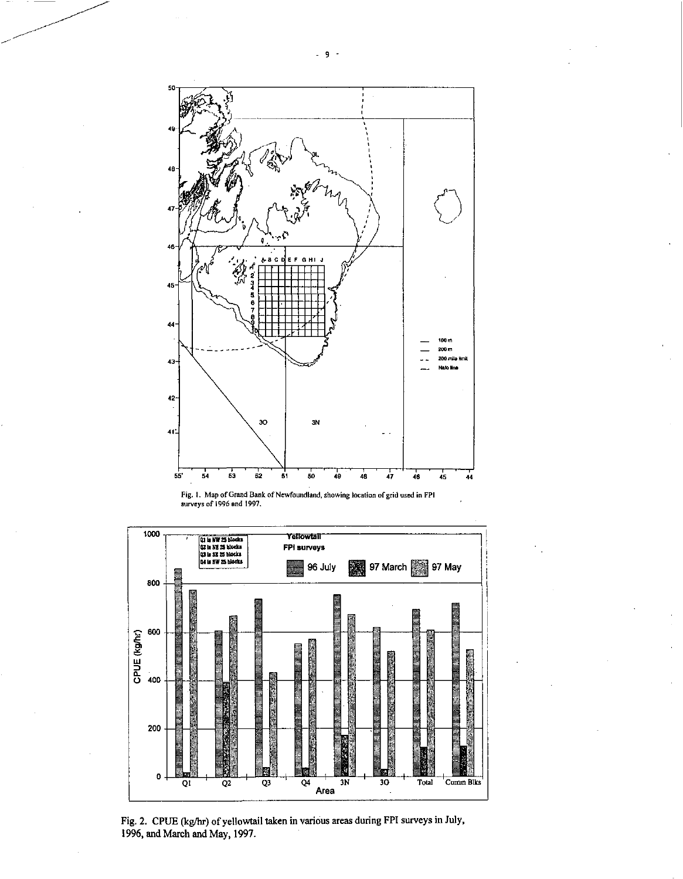





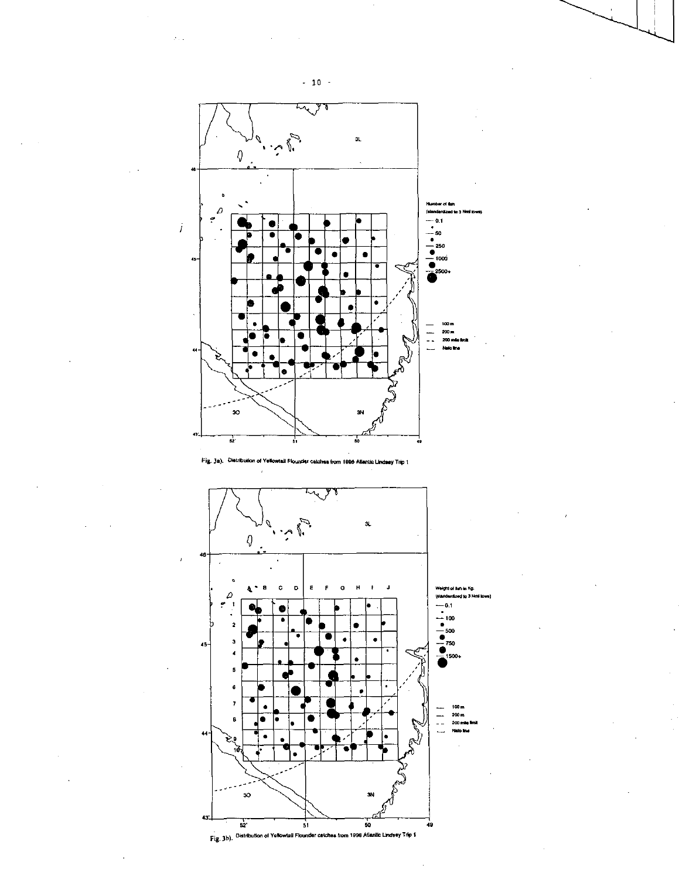

Fig. 3a). Distribution of Yellowiall Flounder catches from 1996 Allentic Lindsey Trip 1





 $-10 -$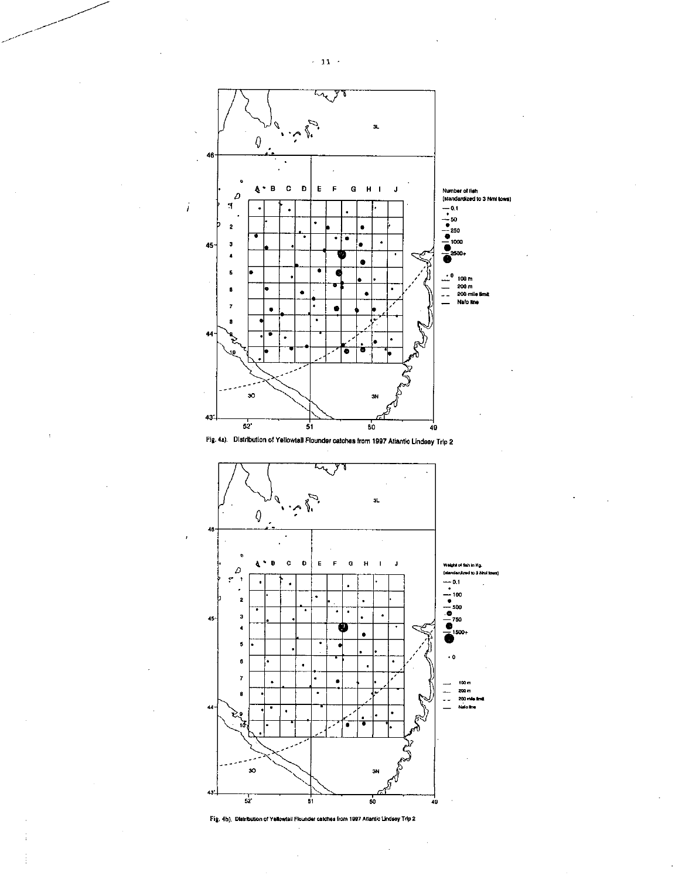





Fig. 4b). Distribution of Yellowtail Flounder catches from 1997 Atlantic Lindsey Trip 2

 $\sim$  11  $\geq$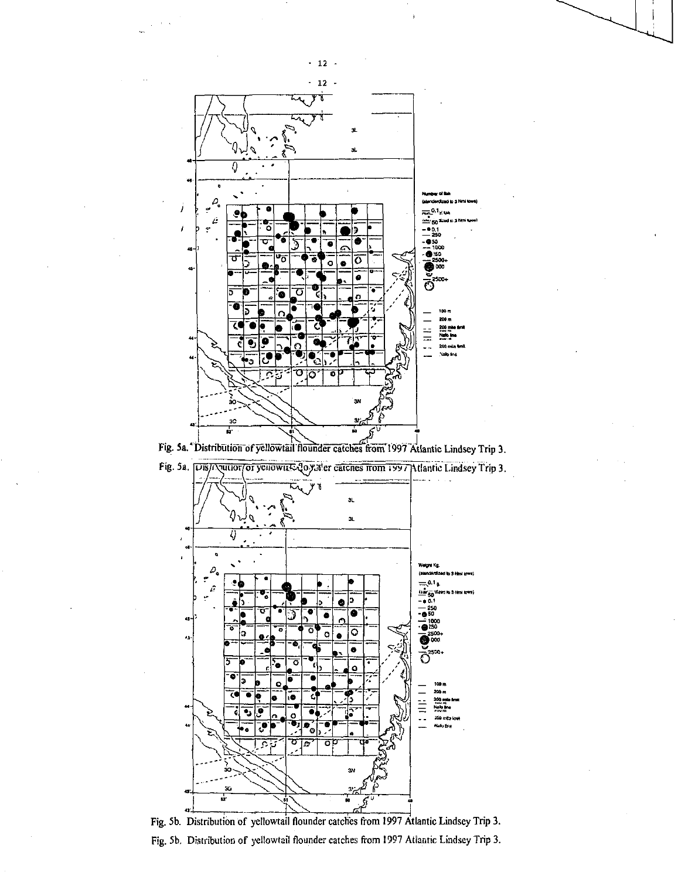

Fig. 5a. "Distribution of yellowtail flounder catches from 1997 Atlantic Lindsey Trip 3.





Fig. 5b. Distribution of yellowtail flounder catches from 1997 Atlantic Lindsey Trip 3. Fig. 5b. Distribution of yellowtail flounder catches from 1997 Atlantic Lindsey Trip 3.

 $\cdot$  12  $\cdot$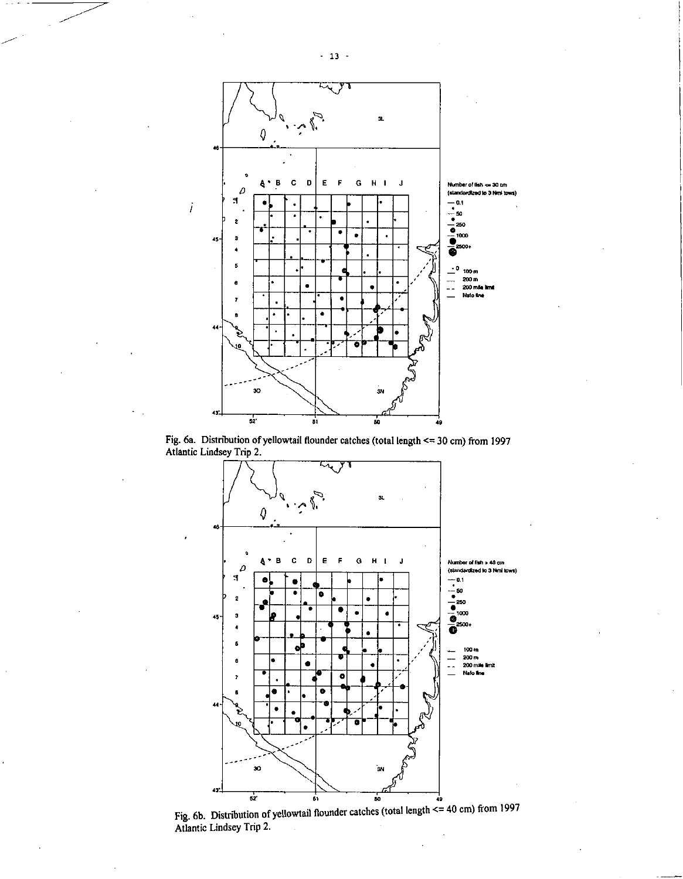

Fig. 6a. Distribution of yellowtail flounder catches (total length  $\le$  = 30 cm) from 1997 Atlantic Lindsey Trip 2.



Fig. 6b. Distribution of yellowtail flounder catches (total length  $\leq$  = 40 cm) from 1997 Atlantic Lindsey Trip 2.

 $-13 -$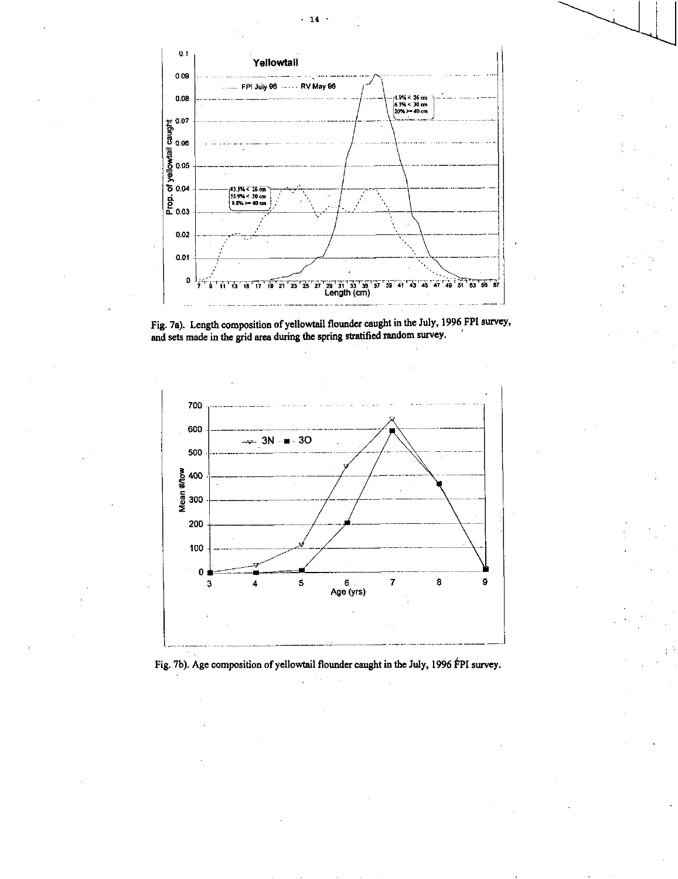





Fig. 7b). Age composition of yellowtail flounder caught in the July, 1996 FPI survey.

14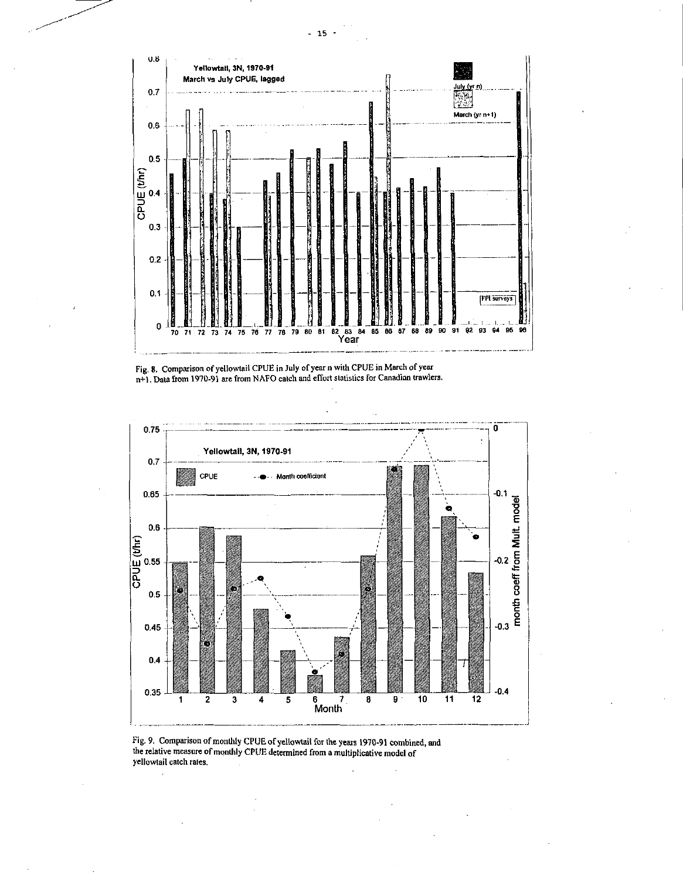

Fig. 8. Comparison of yellowtail CPUE in July of year n with CPUE in March of year n+). Data from 1970-91 are from NAFO catch and effort statistics for Canadian trawlers.



Fig. 9. Comparison of monthly CPUE of yellowtail for the years 1970-91 combined, and the relative measure of monthly CPUE determined from a multiplicative model of yellowtail catch rates.

 $-15 -$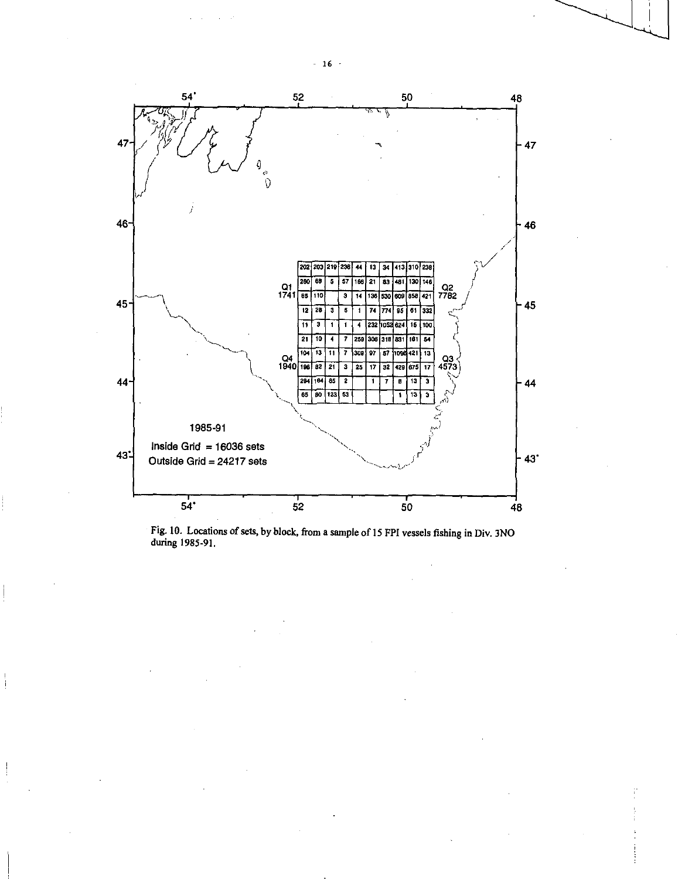

Fig. 10. Locations of sets, by block, from a sample of 15 FPI vessels fishing in Div. 3N0 during 1985-91.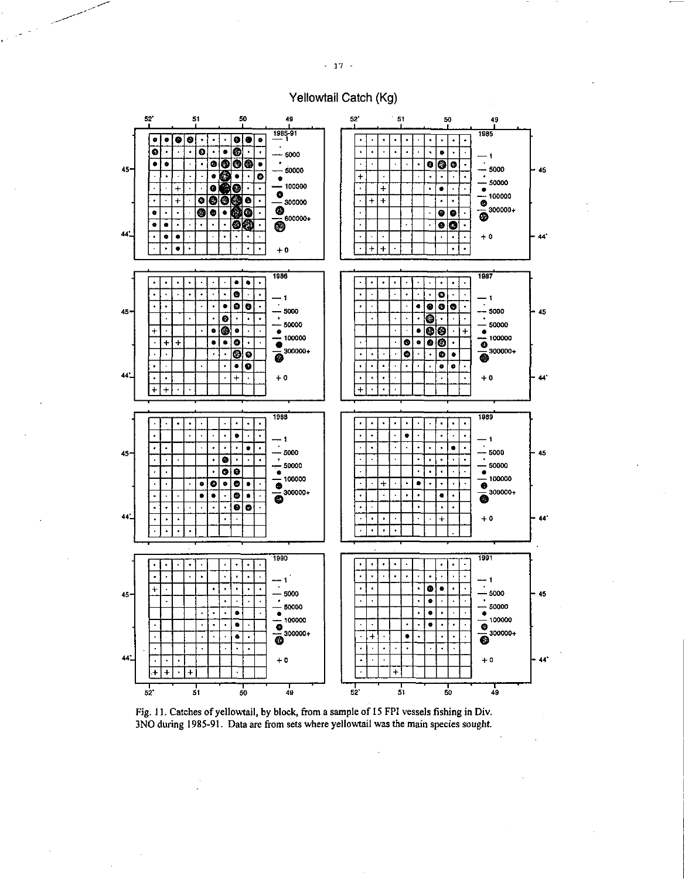# Yellowtail Catch (Kg)



Fig. 11. Catches of yellowtail, by block, from a sample of 15 FPI vessels fishing in Div. 3NO during 1985-91. Data are from sets where yellowtail was the main species sought.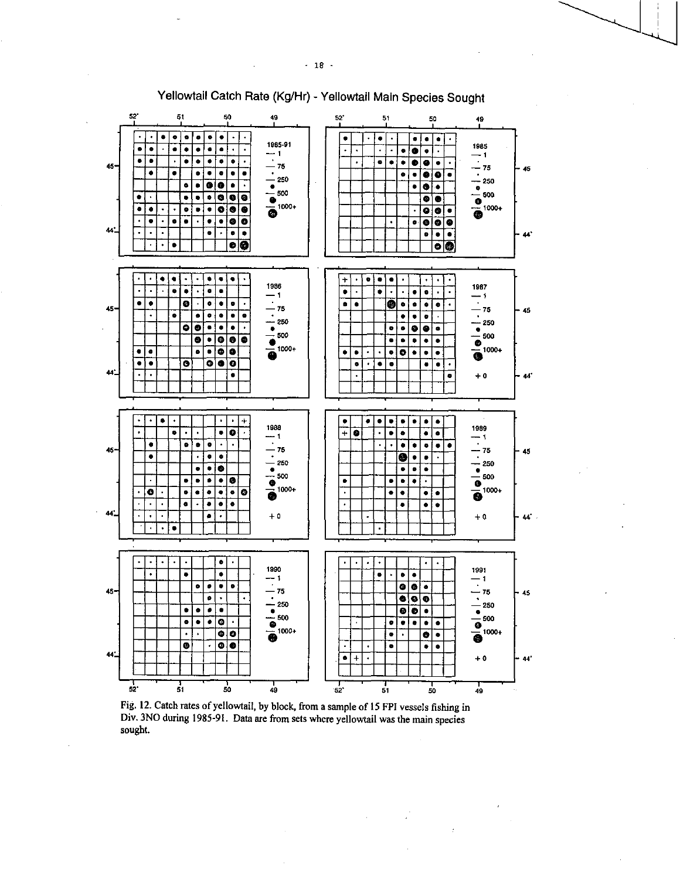

Yellowtail Catch Rate (Kg/Hr) - Yellowtail Main Species Sought

Fig. 12. Catch rates of yellowtail, by block, from a sample of 15 FPI vessels fishing in Div. 3NO during 1985-91. Data are from sets where yellowtail was the main species sought.

 $\cdot$ 

 $\cdot$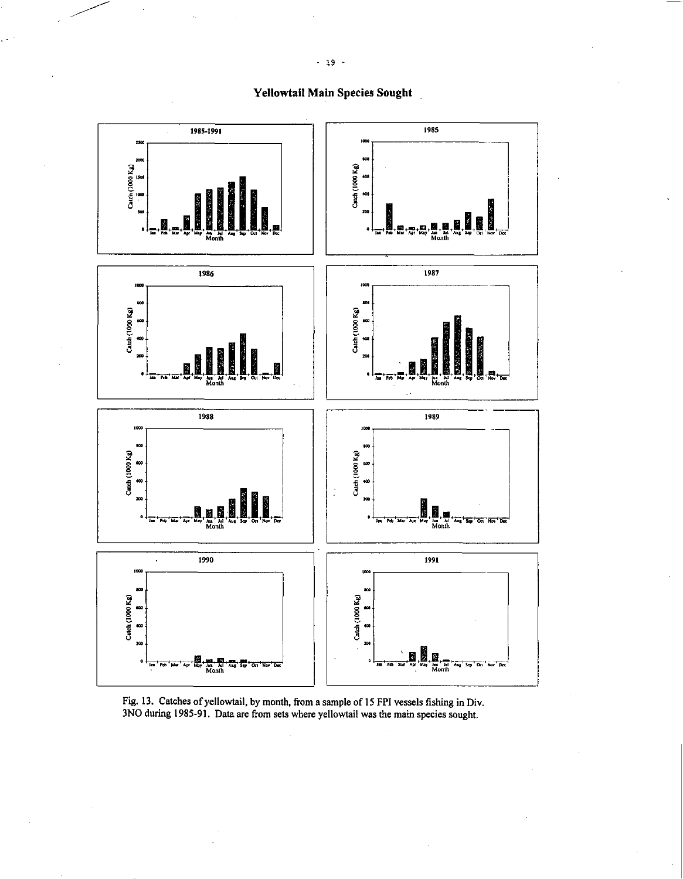Yellowtail Main Species Sought



Fig. 13. Catches of yellowtail, by month, from a sample of 15 FPI vessels fishing in Div. 3NO during 1985-91. Data are from sets where yellowtail was the main species sought.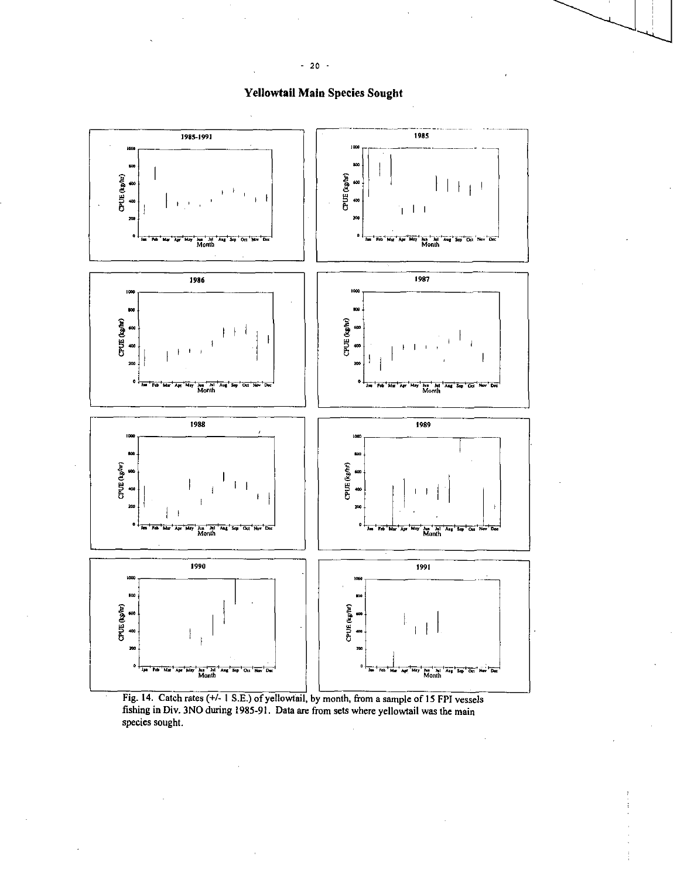

# **Yellowtail Main Species Sought**

Fig. 14. Catch rates (+/- 1 S.E.) of yellowtail, by month, from a sample of 15 FPI vessels<br>fishing in Div. 3NO during 1985-91. Data are from sets where yellowtail was the main species sought.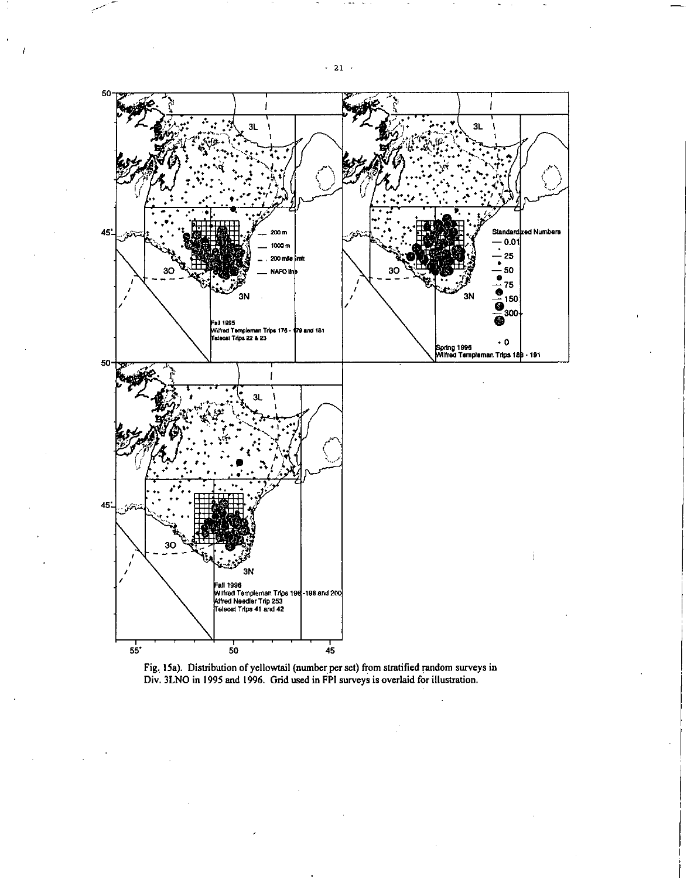

Fig. 15a). Distribution of yellowtail (number per set) from stratified random surveys in Div. 3LNO in 1995 and 1996. Grid used in FPI surveys is overlaid for illustration.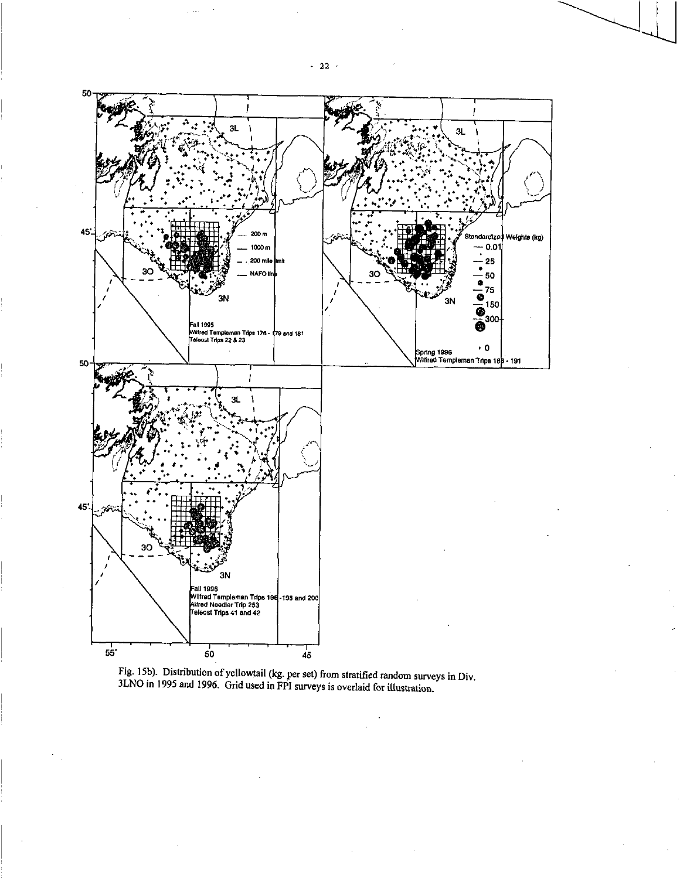